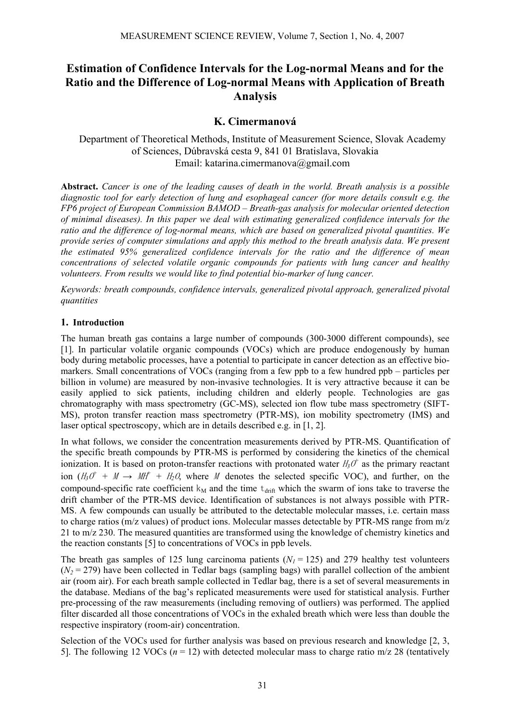# **Estimation of Confidence Intervals for the Log-normal Means and for the Ratio and the Difference of Log-normal Means with Application of Breath Analysis**

# **K. Cimermanová**

Department of Theoretical Methods, Institute of Measurement Science, Slovak Academy of Sciences, Dúbravská cesta 9, 841 01 Bratislava, Slovakia Email: katarina.cimermanova@gmail.com

**Abstract.** *Cancer is one of the leading causes of death in the world. Breath analysis is a possible diagnostic tool for early detection of lung and esophageal cancer (for more details consult e.g. the FP6 project of European Commission BAMOD – Breath-gas analysis for molecular oriented detection of minimal diseases). In this paper we deal with estimating generalized confidence intervals for the ratio and the difference of log-normal means, which are based on generalized pivotal quantities. We provide series of computer simulations and apply this method to the breath analysis data. We present the estimated 95% generalized confidence intervals for the ratio and the difference of mean concentrations of selected volatile organic compounds for patients with lung cancer and healthy volunteers. From results we would like to find potential bio-marker of lung cancer.*

*Keywords: breath compounds, confidence intervals, generalized pivotal approach, generalized pivotal quantities* 

# **1. Introduction**

The human breath gas contains a large number of compounds (300-3000 different compounds), see [1]. In particular volatile organic compounds (VOCs) which are produce endogenously by human body during metabolic processes, have a potential to participate in cancer detection as an effective biomarkers. Small concentrations of VOCs (ranging from a few ppb to a few hundred ppb – particles per billion in volume) are measured by non-invasive technologies. It is very attractive because it can be easily applied to sick patients, including children and elderly people. Technologies are gas chromatography with mass spectrometry (GC-MS), selected ion flow tube mass spectrometry (SIFT-MS), proton transfer reaction mass spectrometry (PTR-MS), ion mobility spectrometry (IMS) and laser optical spectroscopy, which are in details described e.g. in [1, 2].

In what follows, we consider the concentration measurements derived by PTR-MS. Quantification of the specific breath compounds by PTR-MS is performed by considering the kinetics of the chemical ionization. It is based on proton-transfer reactions with protonated water  $H_3O^+$  as the primary reactant ion  $(H_3O^+ + M \rightarrow MH^+ + H_2O$ , where M denotes the selected specific VOC), and further, on the compound-specific rate coefficient  $k_M$  and the time  $t_{drift}$  which the swarm of ions take to traverse the drift chamber of the PTR-MS device. Identification of substances is not always possible with PTR-MS. A few compounds can usually be attributed to the detectable molecular masses, i.e. certain mass to charge ratios (m/z values) of product ions. Molecular masses detectable by PTR-MS range from m/z 21 to m/z 230. The measured quantities are transformed using the knowledge of chemistry kinetics and the reaction constants [5] to concentrations of VOCs in ppb levels.

The breath gas samples of 125 lung carcinoma patients  $(N_1 = 125)$  and 279 healthy test volunteers  $(N_2 = 279)$  have been collected in Tedlar bags (sampling bags) with parallel collection of the ambient air (room air). For each breath sample collected in Tedlar bag, there is a set of several measurements in the database. Medians of the bag's replicated measurements were used for statistical analysis. Further pre-processing of the raw measurements (including removing of outliers) was performed. The applied filter discarded all those concentrations of VOCs in the exhaled breath which were less than double the respective inspiratory (room-air) concentration.

Selection of the VOCs used for further analysis was based on previous research and knowledge [2, 3, 5]. The following 12 VOCs  $(n = 12)$  with detected molecular mass to charge ratio m/z 28 (tentatively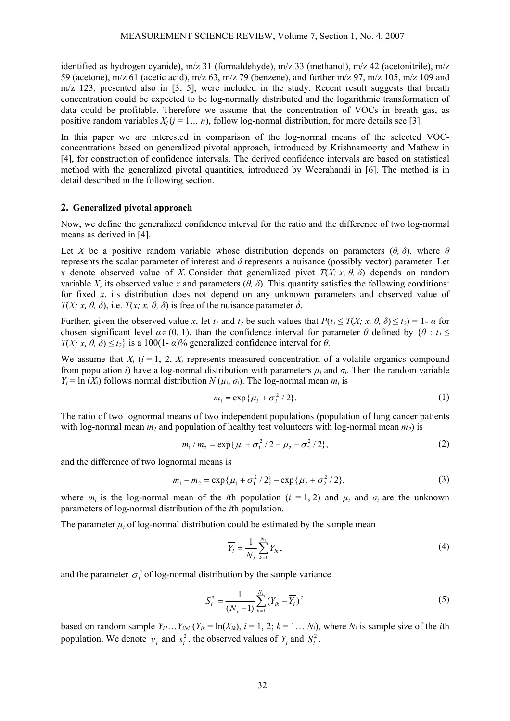identified as hydrogen cyanide), m/z 31 (formaldehyde), m/z 33 (methanol), m/z 42 (acetonitrile), m/z 59 (acetone), m/z 61 (acetic acid), m/z 63, m/z 79 (benzene), and further m/z 97, m/z 105, m/z 109 and m/z 123, presented also in [3, 5], were included in the study. Recent result suggests that breath concentration could be expected to be log-normally distributed and the logarithmic transformation of data could be profitable. Therefore we assume that the concentration of VOCs in breath gas, as positive random variables  $X_i$  ( $j = 1... n$ ), follow log-normal distribution, for more details see [3].

In this paper we are interested in comparison of the log-normal means of the selected VOCconcentrations based on generalized pivotal approach, introduced by Krishnamoorty and Mathew in [4], for construction of confidence intervals. The derived confidence intervals are based on statistical method with the generalized pivotal quantities, introduced by Weerahandi in [6]. The method is in detail described in the following section.

### **2. Generalized pivotal approach**

Now, we define the generalized confidence interval for the ratio and the difference of two log-normal means as derived in [4].

Let *X* be a positive random variable whose distribution depends on parameters (*θ, δ*), where  $\theta$ represents the scalar parameter of interest and *δ* represents a nuisance (possibly vector) parameter. Let *x* denote observed value of *X*. Consider that generalized pivot  $T(X; x, \theta, \delta)$  depends on random variable *X*, its observed value *x* and parameters (*θ, δ*). This quantity satisfies the following conditions: for fixed *x*, its distribution does not depend on any unknown parameters and observed value of *T*(*X; x, θ, δ*), i.e. *T*(*x; x, θ, δ*) is free of the nuisance parameter  $\delta$ .

Further, given the observed value *x*, let  $t_1$  and  $t_2$  be such values that  $P(t_1 \leq T(X; x, \theta, \delta) \leq t_2) = 1 - \alpha$  for chosen significant level  $\alpha \in (0, 1)$ , than the confidence interval for parameter  $\theta$  defined by  $\{\theta : t_1 \leq t_2 \}$ *T*(*X; x,*  $\theta$ *,*  $\delta$ *)*  $\leq t$ *<sub>2</sub>} is a 100(1-* $\alpha$ *)% generalized confidence interval for*  $\theta$ *.* 

We assume that  $X_i$  ( $i = 1, 2, X_i$  represents measured concentration of a volatile organics compound from population *i*) have a log-normal distribution with parameters  $\mu_i$  and  $\sigma_i$ . Then the random variable  $Y_i = \ln(X_i)$  follows normal distribution  $N(\mu_i, \sigma_i)$ . The log-normal mean  $m_i$  is

$$
m_i = \exp\{\mu_i + \sigma_i^2/2\}.
$$
 (1)

The ratio of two lognormal means of two independent populations (population of lung cancer patients with log-normal mean  $m_l$  and population of healthy test volunteers with log-normal mean  $m_l$ ) is

$$
m_1 / m_2 = \exp\{\mu_1 + \sigma_1^2 / 2 - \mu_2 - \sigma_2^2 / 2\},\tag{2}
$$

and the difference of two lognormal means is

$$
m_1 - m_2 = \exp\{\mu_1 + \sigma_1^2/2\} - \exp\{\mu_2 + \sigma_2^2/2\},\tag{3}
$$

where  $m_i$  is the log-normal mean of the *i*th population (*i* = 1, 2) and  $\mu_i$  and  $\sigma_i$  are the unknown parameters of log-normal distribution of the *i*th population.

The parameter  $\mu_i$  of log-normal distribution could be estimated by the sample mean

$$
\overline{Y_i} = \frac{1}{N_i} \sum_{k=1}^{N_i} Y_{ik},\tag{4}
$$

and the parameter  $\sigma_i^2$  of log-normal distribution by the sample variance

$$
S_i^2 = \frac{1}{(N_i - 1)} \sum_{k=1}^{N_i} (Y_{ik} - \overline{Y_i})^2
$$
 (5)

based on random sample  $Y_{i1} \nvert X_{iN}$  ( $Y_{ik} = \ln(X_{ik})$ ,  $i = 1, 2$ ;  $k = 1 \nvert X_i$ ), where  $N_i$  is sample size of the *i*th population. We denote  $y_i$  and  $s_i^2$ , the observed values of  $\overline{Y}_i$  and  $S_i^2$ .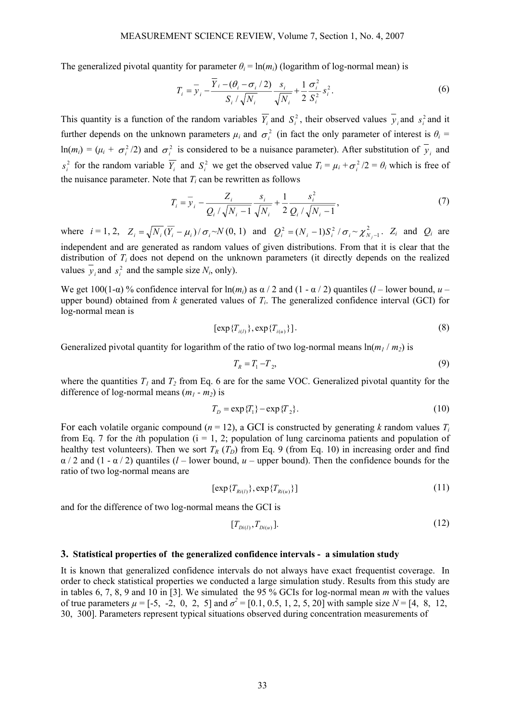The generalized pivotal quantity for parameter  $\theta_i = \ln(m_i)$  (logarithm of log-normal mean) is

$$
T_i = \overline{y}_i - \frac{\overline{Y}_i - (\theta_i - \sigma_i/2)}{S_i/\sqrt{N_i}} \frac{s_i}{\sqrt{N_i}} + \frac{1}{2} \frac{\sigma_i^2}{S_i^2} s_i^2.
$$
 (6)

This quantity is a function of the random variables  $\overline{Y}_i$  and  $S_i^2$ , their observed values  $y_i$  and  $s_i^2$  and it further depends on the unknown parameters  $\mu_i$  and  $\sigma_i^2$  (in fact the only parameter of interest is  $\theta_i$  =  $ln(m_i) = (\mu_i + \sigma_i^2/2)$  and  $\sigma_i^2$  is considered to be a nuisance parameter). After substitution of  $\overline{y}_i$  and  $s_i^2$  for the random variable  $\overline{Y}_i$  and  $S_i^2$  we get the observed value  $T_i = \mu_i + \sigma_i^2 / 2 = \theta_i$  which is free of the nuisance parameter. Note that  $T_i$  can be rewritten as follows

$$
T_i = \overline{y}_i - \frac{Z_i}{Q_i / \sqrt{N_i - 1}} \frac{s_i}{\sqrt{N_i}} + \frac{1}{2} \frac{s_i^2}{Q_i / \sqrt{N_i - 1}},
$$
\n(7)

where  $i = 1, 2, Z_i = \sqrt{N_i} (\overline{Y_i} - \mu_i) / \sigma_i \sim N(0, 1)$  and  $Q_i^2 = (N_i - 1) S_i^2 / \sigma_i \sim \chi^2_{N_i - 1}$ .  $Z_i$  and  $Q_i$  are independent and are generated as random values of given distributions. From that it is clear that the distribution of *T<sub>i</sub>* does not depend on the unknown parameters (it directly depends on the realized values  $\overline{y}_i$  and  $s_i^2$  and the sample size  $N_i$ , only).

We get 100(1- $\alpha$ ) % confidence interval for  $\ln(m_i)$  as  $\alpha/2$  and (1 -  $\alpha/2$ ) quantiles (*l* – lower bound, *u* – upper bound) obtained from *k* generated values of *Ti*. The generalized confidence interval (GCI) for log-normal mean is

$$
[\exp\{T_{i(l)}\}, \exp\{T_{i(u)}\}].
$$
\n
$$
(8)
$$

Generalized pivotal quantity for logarithm of the ratio of two log-normal means  $\ln(m_1 / m_2)$  is

$$
T_R = T_1 - T_2,\tag{9}
$$

where the quantities  $T_1$  and  $T_2$  from Eq. 6 are for the same VOC. Generalized pivotal quantity for the difference of log-normal means  $(m_1 - m_2)$  is

$$
T_D = \exp\{T_1\} - \exp\{T_2\}.
$$
 (10)

For each volatile organic compound ( $n = 12$ ), a GCI is constructed by generating *k* random values  $T_i$ from Eq. 7 for the *i*th population  $(i = 1, 2)$ ; population of lung carcinoma patients and population of healthy test volunteers). Then we sort  $T_R$  ( $T_D$ ) from Eq. 9 (from Eq. 10) in increasing order and find  $\alpha$  / 2 and (1 -  $\alpha$  / 2) quantiles (*l* – lower bound, *u* – upper bound). Then the confidence bounds for the ratio of two log-normal means are

$$
[\exp\{T_{Ri(l)}\}, \exp\{T_{Ri(u)}\}]
$$
\n(11)

and for the difference of two log-normal means the GCI is

$$
[T_{Di(l)}, T_{Di(u)}]. \t(12)
$$

#### **3. Statistical properties of the generalized confidence intervals - a simulation study**

It is known that generalized confidence intervals do not always have exact frequentist coverage. In order to check statistical properties we conducted a large simulation study. Results from this study are in tables 6, 7, 8, 9 and 10 in [3]. We simulated the 95 % GCIs for log-normal mean *m* with the values of true parameters  $\mu = [-5, -2, 0, 2, 5]$  and  $\sigma^2 = [0.1, 0.5, 1, 2, 5, 20]$  with sample size  $N = [4, 8, 12, 12]$ 30, 300]. Parameters represent typical situations observed during concentration measurements of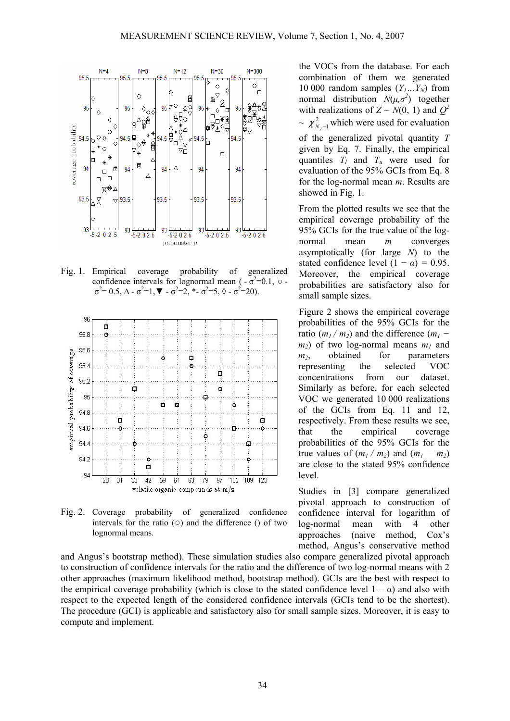

Fig. 1. Empirical coverage probability of generalized confidence intervals for lognormal mean  $(-\sigma^2=0.1, \circ$  $\sigma^2 = 0.5$ , Δ -  $\sigma^2 = 1$ , **V** -  $\sigma^2 = 2$ , \*-  $\sigma^2 = 5$ ,  $\Diamond$  -  $\sigma^2 = 20$ ).



Fig. 2. Coverage probability of generalized confidence intervals for the ratio  $(0)$  and the difference () of two lognormal means.

and Angus's bootstrap method). These simulation studies also compare generalized pivotal approach to construction of confidence intervals for the ratio and the difference of two log-normal means with 2 other approaches (maximum likelihood method, bootstrap method). GCIs are the best with respect to the empirical coverage probability (which is close to the stated confidence level  $1 - \alpha$ ) and also with respect to the expected length of the considered confidence intervals (GCIs tend to be the shortest). The procedure (GCI) is applicable and satisfactory also for small sample sizes. Moreover, it is easy to compute and implement.

the VOCs from the database. For each combination of them we generated 10 000 random samples  $(Y_1...Y_N)$  from normal distribution  $N(\mu, \sigma^2)$  together with realizations of  $Z \sim N(0, 1)$  and  $Q^2$  $\chi^2_{N-1}$  which were used for evaluation of the generalized pivotal quantity *T* given by Eq. 7. Finally, the empirical quantiles  $T_l$  and  $T_u$  were used for evaluation of the 95% GCIs from Eq. 8 for the log-normal mean *m*. Results are

From the plotted results we see that the empirical coverage probability of the 95% GCIs for the true value of the lognormal mean *m* converges asymptotically (for large *N*) to the stated confidence level  $(1 - \alpha) = 0.95$ . Moreover, the empirical coverage probabilities are satisfactory also for small sample sizes.

showed in Fig. 1.

Figure 2 shows the empirical coverage probabilities of the 95% GCIs for the ratio  $(m_1 / m_2)$  and the difference  $(m_1 (m<sub>2</sub>)$  of two log-normal means  $m<sub>1</sub>$  and *m<sub>2</sub>*, obtained for parameters representing the selected VOC concentrations from our dataset. Similarly as before, for each selected VOC we generated 10 000 realizations of the GCIs from Eq. 11 and 12, respectively. From these results we see, that the empirical coverage probabilities of the 95% GCIs for the true values of  $(m_1 / m_2)$  and  $(m_1 - m_2)$ are close to the stated 95% confidence level.

Studies in [3] compare generalized pivotal approach to construction of confidence interval for logarithm of log-normal mean with 4 other approaches (naive method, Cox's method, Angus's conservative method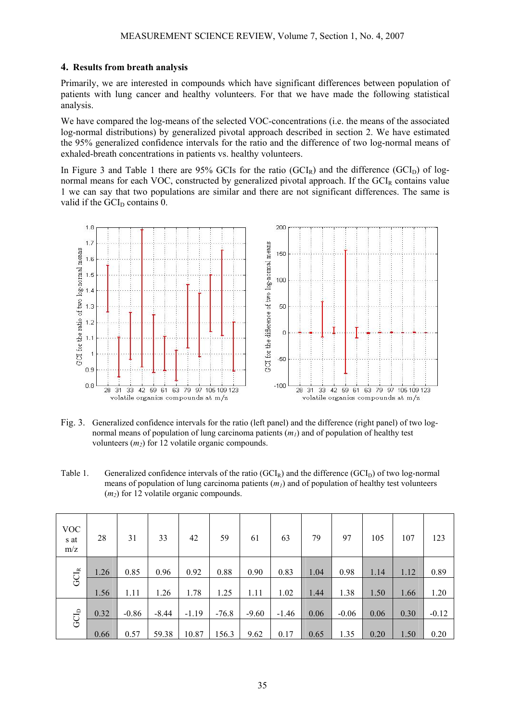### **4. Results from breath analysis**

Primarily, we are interested in compounds which have significant differences between population of patients with lung cancer and healthy volunteers. For that we have made the following statistical analysis.

We have compared the log-means of the selected VOC-concentrations (i.e. the means of the associated log-normal distributions) by generalized pivotal approach described in section 2. We have estimated the 95% generalized confidence intervals for the ratio and the difference of two log-normal means of exhaled-breath concentrations in patients vs. healthy volunteers.

In Figure 3 and Table 1 there are 95% GCIs for the ratio (GCI<sub>R</sub>) and the difference (GCI<sub>D</sub>) of lognormal means for each VOC, constructed by generalized pivotal approach. If the  $GCI<sub>R</sub>$  contains value 1 we can say that two populations are similar and there are not significant differences. The same is valid if the  $GCI<sub>D</sub>$  contains 0.



Fig. 3. Generalized confidence intervals for the ratio (left panel) and the difference (right panel) of two lognormal means of population of lung carcinoma patients (*m1*) and of population of healthy test volunteers  $(m_2)$  for 12 volatile organic compounds.

Table 1. Generalized confidence intervals of the ratio  $(GCl<sub>R</sub>)$  and the difference  $(GCl<sub>D</sub>)$  of two log-normal means of population of lung carcinoma patients  $(m_l)$  and of population of healthy test volunteers  $(m<sub>2</sub>)$  for 12 volatile organic compounds.

| <b>VOC</b><br>s at<br>m/z | 28   | 31      | 33      | 42      | 59      | 61      | 63      | 79   | 97      | 105  | 107  | 123     |
|---------------------------|------|---------|---------|---------|---------|---------|---------|------|---------|------|------|---------|
| $\mathrm{GCl}_\mathbb{R}$ | 1.26 | 0.85    | 0.96    | 0.92    | 0.88    | 0.90    | 0.83    | 1.04 | 0.98    | 1.14 | 1.12 | 0.89    |
|                           | 1.56 | 1.11    | 1.26    | 1.78    | 1.25    | 1.11    | 1.02    | 1.44 | 1.38    | 1.50 | 1.66 | 1.20    |
| $\rm GCL_D$               | 0.32 | $-0.86$ | $-8.44$ | $-1.19$ | $-76.8$ | $-9.60$ | $-1.46$ | 0.06 | $-0.06$ | 0.06 | 0.30 | $-0.12$ |
|                           | 0.66 | 0.57    | 59.38   | 10.87   | 156.3   | 9.62    | 0.17    | 0.65 | 1.35    | 0.20 | 1.50 | 0.20    |